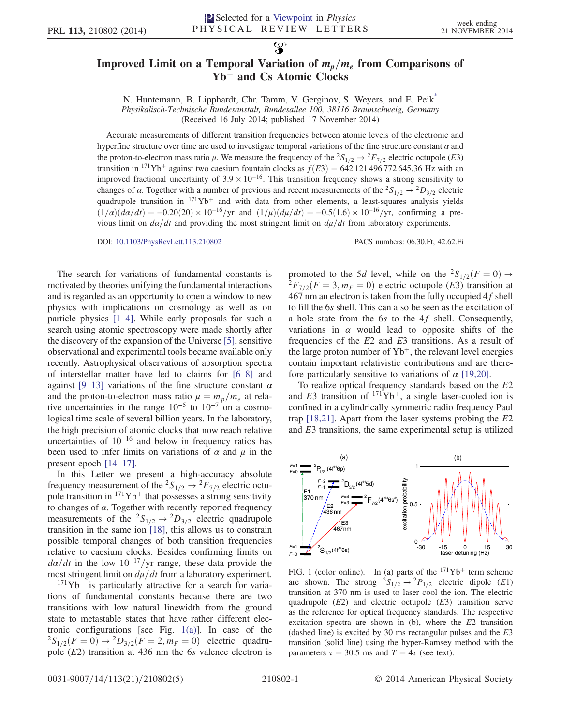## <span id="page-0-1"></span>Improved Limit on a Temporal Variation of  $m_p/m_e$  from Comparisons of  $Yb^+$  and Cs Atomic Clocks

 $\mathcal{L}$ 

N. Huntemann, B. Lipphardt, Chr. Tamm, V. Gerginov, S. Weyers, and E. Peik[\\*](#page-3-0) Physikalisch-Technische Bundesanstalt, Bundesallee 100, 38116 Braunschweig, Germany

(Received 16 July 2014; published 17 November 2014)

Accurate measurements of different transition frequencies between atomic levels of the electronic and hyperfine structure over time are used to investigate temporal variations of the fine structure constant  $\alpha$  and the proton-to-electron mass ratio  $\mu$ . We measure the frequency of the  ${}^2S_{1/2} \rightarrow {}^2F_{7/2}$  electric octupole (E3) transition in <sup>171</sup>Yb<sup>+</sup> against two caesium fountain clocks as  $f(E3) = 642$  121 496 772 645.36 Hz with an improved fractional uncertainty of  $3.9 \times 10^{-16}$ . This transition frequency shows a strong sensitivity to changes of  $\alpha$ . Together with a number of previous and recent measurements of the  ${}^2S_{1/2} \rightarrow {}^2D_{3/2}$  electric quadrupole transition in  $171\text{Yb}^+$  and with data from other elements, a least-squares analysis yields  $(1/\alpha)(d\alpha/dt) = -0.20(20) \times 10^{-16}/yr$  and  $(1/\mu)(d\mu/dt) = -0.5(1.6) \times 10^{-16}/yr$ , confirming a previous limit on  $d\alpha/dt$  and providing the most stringent limit on  $d\mu/dt$  from laboratory experiments.

DOI: [10.1103/PhysRevLett.113.210802](http://dx.doi.org/10.1103/PhysRevLett.113.210802) PACS numbers: 06.30.Ft, 42.62.Fi

The search for variations of fundamental constants is motivated by theories unifying the fundamental interactions and is regarded as an opportunity to open a window to new physics with implications on cosmology as well as on particle physics [1–[4\].](#page-3-1) While early proposals for such a search using atomic spectroscopy were made shortly after the discovery of the expansion of the Universe [\[5\]](#page-3-2), sensitive observational and experimental tools became available only recently. Astrophysical observations of absorption spectra of interstellar matter have led to claims for [\[6](#page-3-3)–8] and against [9–[13\]](#page-3-4) variations of the fine structure constant  $\alpha$ and the proton-to-electron mass ratio  $\mu = m_p/m_e$  at relative uncertainties in the range  $10^{-5}$  to  $10^{-7}$  on a cosmological time scale of several billion years. In the laboratory, the high precision of atomic clocks that now reach relative uncertainties of  $10^{-16}$  and below in frequency ratios has been used to infer limits on variations of  $\alpha$  and  $\mu$  in the present epoch [\[14](#page-3-5)–17].

In this Letter we present a high-accuracy absolute frequency measurement of the <sup>2</sup>S<sub>1/2</sub>  $\rightarrow$  <sup>2</sup>F<sub>7/2</sub> electric octupole transition in  $171\text{Yb}^+$  that possesses a strong sensitivity to changes of  $\alpha$ . Together with recently reported frequency measurements of the  ${}^2S_{1/2} \rightarrow {}^2D_{3/2}$  electric quadrupole transition in the same ion [\[18\]](#page-3-6), this allows us to constrain possible temporal changes of both transition frequencies relative to caesium clocks. Besides confirming limits on  $d\alpha/dt$  in the low 10<sup>-17</sup>/yr range, these data provide the most stringent limit on  $d\mu/dt$  from a laboratory experiment.

 $171\text{Yb}$ <sup>+</sup> is particularly attractive for a search for variations of fundamental constants because there are two transitions with low natural linewidth from the ground state to metastable states that have rather different electronic configurations [see Fig.  $1(a)$ ]. In case of the  ${}^{2}S_{1/2}(F = 0) \rightarrow {}^{2}D_{3/2}(F = 2, m_F = 0)$  electric quadrupole  $(E2)$  transition at 436 nm the 6s valence electron is promoted to the 5d level, while on the  ${}^{2}S_{1/2}(F = 0) \rightarrow {}^{2}F_{7/2}(F = 3, m_F = 0)$  electric octupole (E3) transition at  $467$  nm an electron is taken from the fully occupied  $4f$  shell to fill the 6s shell. This can also be seen as the excitation of a hole state from the 6s to the 4f shell. Consequently, variations in  $\alpha$  would lead to opposite shifts of the frequencies of the  $E2$  and  $E3$  transitions. As a result of the large proton number of  $Yb^+$ , the relevant level energies contain important relativistic contributions and are therefore particularly sensitive to variations of  $\alpha$  [\[19,20\]](#page-3-7).

To realize optical frequency standards based on the E2 and E3 transition of  $171Yb^+$ , a single laser-cooled ion is confined in a cylindrically symmetric radio frequency Paul trap  $[18,21]$ . Apart from the laser systems probing the  $E2$ and E3 transitions, the same experimental setup is utilized

<span id="page-0-0"></span>

FIG. 1 (color online). In (a) parts of the  $171\text{Yb}^+$  term scheme are shown. The strong  ${}^{2}S_{1/2} \rightarrow {}^{2}P_{1/2}$  electric dipole (E1) transition at 370 nm is used to laser cool the ion. The electric quadrupole  $(E2)$  and electric octupole  $(E3)$  transition serve as the reference for optical frequency standards. The respective excitation spectra are shown in  $(b)$ , where the  $E2$  transition (dashed line) is excited by 30 ms rectangular pulses and the E3 transition (solid line) using the hyper-Ramsey method with the parameters  $\tau = 30.5$  ms and  $T = 4\tau$  (see text).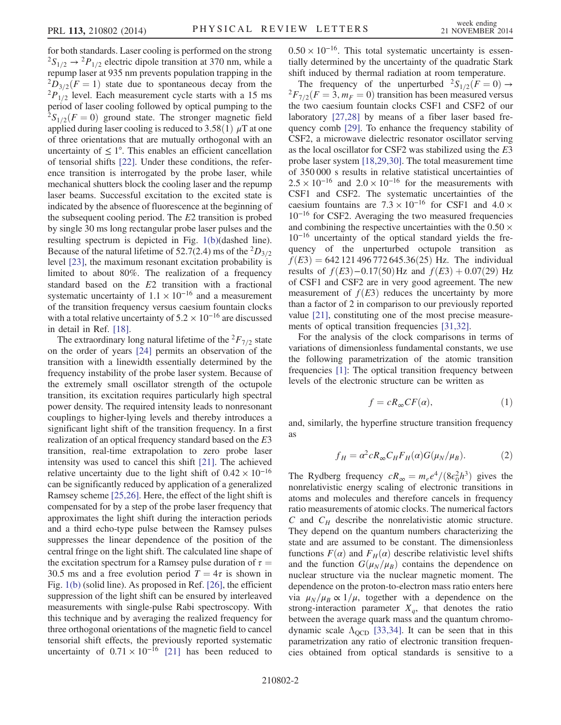for both standards. Laser cooling is performed on the strong  ${}^{2}S_{1/2} \rightarrow {}^{2}P_{1/2}$  electric dipole transition at 370 nm, while a repump laser at 935 nm prevents population trapping in the  $^{2}D_{3/2}(F = 1)$  state due to spontaneous decay from the  $^{2}P_{1/2}$  level. Each measurement cycle starts with a 15 ms period of laser cooling followed by optical pumping to the  ${}^{2}S_{1/2}(F = 0)$  ground state. The stronger magnetic field applied during laser cooling is reduced to 3.58(1)  $\mu$ T at one of three orientations that are mutually orthogonal with an uncertainty of  $\leq 1^{\circ}$ . This enables an efficient cancellation of tensorial shifts [\[22\]](#page-3-8). Under these conditions, the reference transition is interrogated by the probe laser, while mechanical shutters block the cooling laser and the repump laser beams. Successful excitation to the excited state is indicated by the absence of fluorescence at the beginning of the subsequent cooling period. The E2 transition is probed by single 30 ms long rectangular probe laser pulses and the resulting spectrum is depicted in Fig. [1\(b\)\(](#page-0-0)dashed line). Because of the natural lifetime of 52.7(2.4) ms of the  ${}^{2}D_{3/2}$ level [\[23\]](#page-3-9), the maximum resonant excitation probability is limited to about 80%. The realization of a frequency standard based on the E2 transition with a fractional systematic uncertainty of  $1.1 \times 10^{-16}$  and a measurement of the transition frequency versus caesium fountain clocks with a total relative uncertainty of  $5.2 \times 10^{-16}$  are discussed in detail in Ref. [\[18\].](#page-3-6)

The extraordinary long natural lifetime of the  ${}^{2}F_{7/2}$  state on the order of years [\[24\]](#page-3-10) permits an observation of the transition with a linewidth essentially determined by the frequency instability of the probe laser system. Because of the extremely small oscillator strength of the octupole transition, its excitation requires particularly high spectral power density. The required intensity leads to nonresonant couplings to higher-lying levels and thereby introduces a significant light shift of the transition frequency. In a first realization of an optical frequency standard based on the E3 transition, real-time extrapolation to zero probe laser intensity was used to cancel this shift [\[21\]](#page-3-11). The achieved relative uncertainty due to the light shift of  $0.42 \times 10^{-16}$ can be significantly reduced by application of a generalized Ramsey scheme [\[25,26\].](#page-3-12) Here, the effect of the light shift is compensated for by a step of the probe laser frequency that approximates the light shift during the interaction periods and a third echo-type pulse between the Ramsey pulses suppresses the linear dependence of the position of the central fringe on the light shift. The calculated line shape of the excitation spectrum for a Ramsey pulse duration of  $\tau =$ 30.5 ms and a free evolution period  $T = 4\tau$  is shown in Fig. [1\(b\)](#page-0-0) (solid line). As proposed in Ref. [\[26\],](#page-3-13) the efficient suppression of the light shift can be ensured by interleaved measurements with single-pulse Rabi spectroscopy. With this technique and by averaging the realized frequency for three orthogonal orientations of the magnetic field to cancel tensorial shift effects, the previously reported systematic uncertainty of  $0.71 \times 10^{-16}$  [\[21\]](#page-3-11) has been reduced to  $0.50 \times 10^{-16}$ . This total systematic uncertainty is essentially determined by the uncertainty of the quadratic Stark shift induced by thermal radiation at room temperature.

The frequency of the unperturbed  ${}^{2}S_{1/2}(F = 0) \rightarrow {}^{2}F_{7/2}(F = 3, m_F = 0)$  transition has been measured versus the two caesium fountain clocks CSF1 and CSF2 of our laboratory [\[27,28\]](#page-3-14) by means of a fiber laser based frequency comb [\[29\]](#page-3-15). To enhance the frequency stability of CSF2, a microwave dielectric resonator oscillator serving as the local oscillator for CSF2 was stabilized using the E3 probe laser system [\[18,29,30\].](#page-3-6) The total measurement time of 350 000 s results in relative statistical uncertainties of  $2.5 \times 10^{-16}$  and  $2.0 \times 10^{-16}$  for the measurements with CSF1 and CSF2. The systematic uncertainties of the caesium fountains are  $7.3 \times 10^{-16}$  for CSF1 and  $4.0 \times$ 10<sup>−</sup><sup>16</sup> for CSF2. Averaging the two measured frequencies and combining the respective uncertainties with the  $0.50 \times$ 10<sup>−</sup><sup>16</sup> uncertainty of the optical standard yields the frequency of the unperturbed octupole transition as  $f(E3) = 642 121 496 772 645.36(25)$  Hz. The individual results of  $f(E3)-0.17(50)$  Hz and  $f(E3)+0.07(29)$  Hz of CSF1 and CSF2 are in very good agreement. The new measurement of  $f(E3)$  reduces the uncertainty by more than a factor of 2 in comparison to our previously reported value [\[21\]](#page-3-11), constituting one of the most precise measurements of optical transition frequencies [\[31,32\]](#page-3-16).

For the analysis of the clock comparisons in terms of variations of dimensionless fundamental constants, we use the following parametrization of the atomic transition frequencies [\[1\]:](#page-3-1) The optical transition frequency between levels of the electronic structure can be written as

$$
f = cR_{\infty}CF(\alpha),\tag{1}
$$

and, similarly, the hyperfine structure transition frequency as

$$
f_H = \alpha^2 c R_\infty C_H F_H(\alpha) G(\mu_N/\mu_B). \tag{2}
$$

The Rydberg frequency  $cR_{\infty} = m_e e^4/(8\epsilon_0^2 h^3)$  gives the nonrelativistic energy scaling of electronic transitions in atoms and molecules and therefore cancels in frequency ratio measurements of atomic clocks. The numerical factors C and  $C_H$  describe the nonrelativistic atomic structure. They depend on the quantum numbers characterizing the state and are assumed to be constant. The dimensionless functions  $F(\alpha)$  and  $F_H(\alpha)$  describe relativistic level shifts and the function  $G(\mu_N/\mu_B)$  contains the dependence on nuclear structure via the nuclear magnetic moment. The dependence on the proton-to-electron mass ratio enters here via  $\mu_N/\mu_B \propto 1/\mu$ , together with a dependence on the strong-interaction parameter  $X_q$ , that denotes the ratio between the average quark mass and the quantum chromodynamic scale  $\Lambda_{\text{OCD}}$  [\[33,34\]](#page-4-0). It can be seen that in this parametrization any ratio of electronic transition frequencies obtained from optical standards is sensitive to a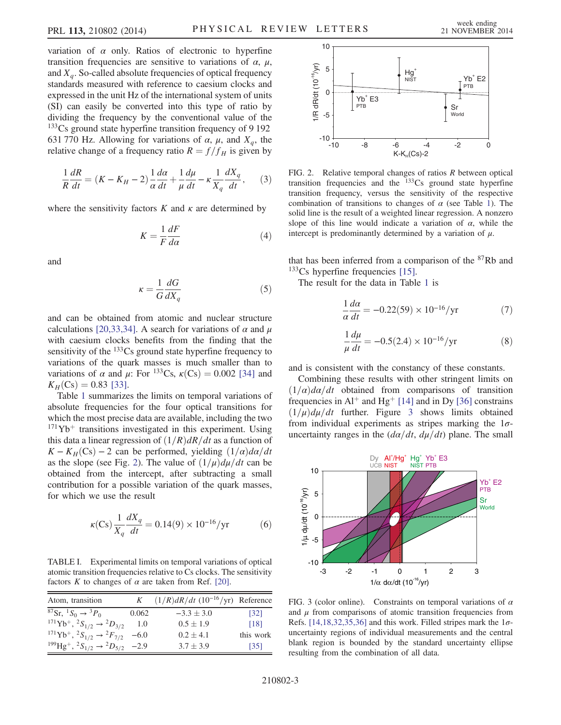variation of  $\alpha$  only. Ratios of electronic to hyperfine transition frequencies are sensitive to variations of  $\alpha$ ,  $\mu$ , and  $X_a$ . So-called absolute frequencies of optical frequency standards measured with reference to caesium clocks and expressed in the unit Hz of the international system of units (SI) can easily be converted into this type of ratio by dividing the frequency by the conventional value of the  $133<sub>CS</sub>$  ground state hyperfine transition frequency of 9 192 631 770 Hz. Allowing for variations of  $\alpha$ ,  $\mu$ , and  $X_q$ , the relative change of a frequency ratio  $R = f/f_H$  is given by

$$
\frac{1}{R}\frac{dR}{dt} = (K - K_H - 2)\frac{1}{\alpha}\frac{d\alpha}{dt} + \frac{1}{\mu}\frac{d\mu}{dt} - \kappa\frac{1}{X_q}\frac{dX_q}{dt},\qquad(3)
$$

where the sensitivity factors  $K$  and  $\kappa$  are determined by

$$
K = \frac{1}{F} \frac{dF}{d\alpha} \tag{4}
$$

and

$$
\kappa = \frac{1}{G} \frac{dG}{dX_a} \tag{5}
$$

and can be obtained from atomic and nuclear structure calculations [\[20,33,34\]](#page-3-17). A search for variations of  $\alpha$  and  $\mu$ with caesium clocks benefits from the finding that the sensitivity of the  $133Cs$  ground state hyperfine frequency to variations of the quark masses is much smaller than to variations of  $\alpha$  and  $\mu$ : For <sup>133</sup>Cs,  $\kappa$ (Cs) = 0.002 [\[34\]](#page-4-1) and  $K_H(C_s) = 0.83$  [\[33\].](#page-4-0)

Table [1](#page-2-0) summarizes the limits on temporal variations of absolute frequencies for the four optical transitions for which the most precise data are available, including the two  $171\text{Yb}^+$  transitions investigated in this experiment. Using this data a linear regression of  $(1/R)dR/dt$  as a function of  $K - K_H(Cs) - 2$  can be performed, yielding  $(1/a)d\alpha/dt$ as the slope (see Fig. [2](#page-2-1)). The value of  $(1/\mu)d\mu/dt$  can be obtained from the intercept, after subtracting a small contribution for a possible variation of the quark masses, for which we use the result

$$
\kappa(\text{Cs})\frac{1}{X_q}\frac{dX_q}{dt} = 0.14(9) \times 10^{-16} / \text{yr}
$$
 (6)

<span id="page-2-0"></span>TABLE I. Experimental limits on temporal variations of optical atomic transition frequencies relative to Cs clocks. The sensitivity factors K to changes of  $\alpha$  are taken from Ref. [\[20\]](#page-3-17).

| Atom, transition                                                                                                | K     | $(1/R)dR/dt$ $(10^{-16}/yr)$ Reference |                   |
|-----------------------------------------------------------------------------------------------------------------|-------|----------------------------------------|-------------------|
| <sup>87</sup> Sr, <sup>1</sup> S <sub>0</sub> $\rightarrow$ <sup>3</sup> P <sub>0</sub>                         | 0.062 | $-3.3 \pm 3.0$                         | $\left[32\right]$ |
| ${}^{171}\text{Yb}^+$ , ${}^2S_{1/2} \rightarrow {}^2D_{3/2}$                                                   | 1.0   | $0.5 \pm 1.9$                          | [18]              |
| <sup>171</sup> Yb <sup>+</sup> , <sup>2</sup> S <sub>1/2</sub> $\rightarrow$ <sup>2</sup> F <sub>7/2</sub> -6.0 |       | $0.2 \pm 4.1$                          | this work         |
| <sup>199</sup> Hg <sup>+</sup> , <sup>2</sup> S <sub>1/2</sub> $\rightarrow$ <sup>2</sup> D <sub>5/2</sub> -2.9 |       | $3.7 \pm 3.9$                          | $\left[35\right]$ |

<span id="page-2-1"></span>

FIG. 2. Relative temporal changes of ratios  $R$  between optical transition frequencies and the  $133\text{Cs}$  ground state hyperfine transition frequency, versus the sensitivity of the respective combination of transitions to changes of  $\alpha$  (see Table [1\)](#page-2-0). The solid line is the result of a weighted linear regression. A nonzero slope of this line would indicate a variation of  $\alpha$ , while the intercept is predominantly determined by a variation of  $\mu$ .

that has been inferred from a comparison of the  $87Rb$  and  $133Cs$  hyperfine frequencies [\[15\]](#page-3-18).

The result for the data in Table [1](#page-2-0) is

$$
\frac{1}{\alpha} \frac{d\alpha}{dt} = -0.22(59) \times 10^{-16} / \text{yr}
$$
 (7)

$$
\frac{1}{\mu}\frac{d\mu}{dt} = -0.5(2.4) \times 10^{-16} / \text{yr}
$$
 (8)

and is consistent with the constancy of these constants.

Combining these results with other stringent limits on  $(1/\alpha)d\alpha/dt$  obtained from comparisons of transition frequencies in Al<sup>+</sup> and Hg<sup>+</sup> [\[14\]](#page-3-5) and in Dy [\[36\]](#page-4-2) constrains  $(1/\mu)d\mu/dt$  further. Figure [3](#page-2-2) shows limits obtained from individual experiments as stripes marking the  $1\sigma$ -

<span id="page-2-2"></span>

FIG. 3 (color online). Constraints on temporal variations of  $\alpha$ and  $\mu$  from comparisons of atomic transition frequencies from Refs. [\[14,18,32,35,36\]](#page-3-5) and this work. Filled stripes mark the  $1\sigma$ uncertainty regions of individual measurements and the central blank region is bounded by the standard uncertainty ellipse resulting from the combination of all data.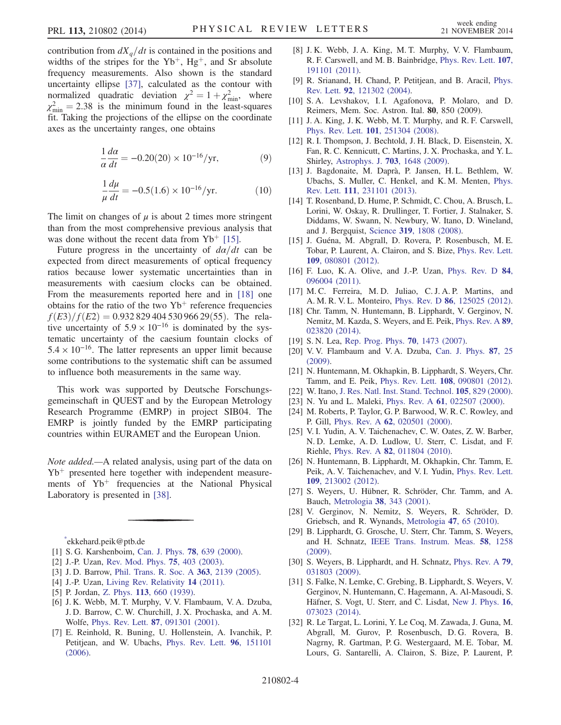contribution from  $dX_a/dt$  is contained in the positions and widths of the stripes for the  $Yb^+$ ,  $Hg^+$ , and Sr absolute frequency measurements. Also shown is the standard uncertainty ellipse [\[37\],](#page-4-4) calculated as the contour with normalized quadratic deviation  $\chi^2 = 1 + \chi^2_{\text{min}}$ , where  $\chi^2_{\text{min}} = 2.38$  is the minimum found in the least-squares fit. Taking the projections of the ellipse on the coordinate axes as the uncertainty ranges, one obtains

$$
\frac{1}{\alpha} \frac{d\alpha}{dt} = -0.20(20) \times 10^{-16} / \text{yr},\tag{9}
$$

$$
\frac{1}{\mu} \frac{d\mu}{dt} = -0.5(1.6) \times 10^{-16} / \text{yr.}
$$
 (10)

The limit on changes of  $\mu$  is about 2 times more stringent than from the most comprehensive previous analysis that was done without the recent data from  $Yb^{+}$  [\[15\].](#page-3-18)

Future progress in the uncertainty of  $d\alpha/dt$  can be expected from direct measurements of optical frequency ratios because lower systematic uncertainties than in measurements with caesium clocks can be obtained. From the measurements reported here and in [\[18\]](#page-3-6) one obtains for the ratio of the two  $Yb^+$  reference frequencies  $f(E3)/f(E2) = 0.932 829 404 530 966 29(55)$ . The relative uncertainty of  $5.9 \times 10^{-16}$  is dominated by the systematic uncertainty of the caesium fountain clocks of  $5.4 \times 10^{-16}$ . The latter represents an upper limit because some contributions to the systematic shift can be assumed to influence both measurements in the same way.

This work was supported by Deutsche Forschungsgemeinschaft in QUEST and by the European Metrology Research Programme (EMRP) in project SIB04. The EMRP is jointly funded by the EMRP participating countries within EURAMET and the European Union.

Note added.—A related analysis, using part of the data on  $Yb<sup>+</sup>$  presented here together with independent measurements of  $Yb<sup>+</sup>$  frequencies at the National Physical Laboratory is presented in [\[38\].](#page-4-5)

<span id="page-3-1"></span><span id="page-3-0"></span>[\\*](#page-0-1) ekkehard.peik@ptb.de

- [1] S. G. Karshenboim, [Can. J. Phys.](http://dx.doi.org/10.1139/p00-045) 78, 639 (2000).
- <span id="page-3-2"></span>[2] J.-P. Uzan, [Rev. Mod. Phys.](http://dx.doi.org/10.1103/RevModPhys.75.403) 75, 403 (2003).
- <span id="page-3-3"></span>[3] J.D. Barrow, [Phil. Trans. R. Soc. A](http://dx.doi.org/10.1098/rsta.2005.1634) 363, 2139 (2005).
- [4] J.-P. Uzan, [Living Rev. Relativity](http://dx.doi.org/10.12942/lrr-2011-2) 14 (2011).
- [5] P. Jordan, Z. Phys. 113[, 660 \(1939\).](http://dx.doi.org/10.1007/BF01340095)
- [6] J. K. Webb, M. T. Murphy, V. V. Flambaum, V. A. Dzuba, J. D. Barrow, C. W. Churchill, J. X. Prochaska, and A. M. Wolfe, Phys. Rev. Lett. 87[, 091301 \(2001\).](http://dx.doi.org/10.1103/PhysRevLett.87.091301)
- [7] E. Reinhold, R. Buning, U. Hollenstein, A. Ivanchik, P. Petitjean, and W. Ubachs, [Phys. Rev. Lett.](http://dx.doi.org/10.1103/PhysRevLett.96.151101) 96, 151101 [\(2006\).](http://dx.doi.org/10.1103/PhysRevLett.96.151101)
- [8] J. K. Webb, J. A. King, M. T. Murphy, V. V. Flambaum, R. F. Carswell, and M. B. Bainbridge, [Phys. Rev. Lett.](http://dx.doi.org/10.1103/PhysRevLett.107.191101) 107, [191101 \(2011\).](http://dx.doi.org/10.1103/PhysRevLett.107.191101)
- <span id="page-3-4"></span>[9] R. Srianand, H. Chand, P. Petitjean, and B. Aracil, [Phys.](http://dx.doi.org/10.1103/PhysRevLett.92.121302) Rev. Lett. 92[, 121302 \(2004\).](http://dx.doi.org/10.1103/PhysRevLett.92.121302)
- [10] S.A. Levshakov, I.I. Agafonova, P. Molaro, and D. Reimers, Mem. Soc. Astron. Ital. 80, 850 (2009).
- [11] J. A. King, J. K. Webb, M. T. Murphy, and R. F. Carswell, Phys. Rev. Lett. 101[, 251304 \(2008\).](http://dx.doi.org/10.1103/PhysRevLett.101.251304)
- [12] R. I. Thompson, J. Bechtold, J. H. Black, D. Eisenstein, X. Fan, R. C. Kennicutt, C. Martins, J. X. Prochaska, and Y. L. Shirley, Astrophys. J. 703[, 1648 \(2009\)](http://dx.doi.org/10.1088/0004-637X/703/2/1648).
- [13] J. Bagdonaite, M. Daprà, P. Jansen, H. L. Bethlem, W. Ubachs, S. Muller, C. Henkel, and K. M. Menten, [Phys.](http://dx.doi.org/10.1103/PhysRevLett.111.231101) Rev. Lett. 111[, 231101 \(2013\).](http://dx.doi.org/10.1103/PhysRevLett.111.231101)
- <span id="page-3-5"></span>[14] T. Rosenband, D. Hume, P. Schmidt, C. Chou, A. Brusch, L. Lorini, W. Oskay, R. Drullinger, T. Fortier, J. Stalnaker, S. Diddams, W. Swann, N. Newbury, W. Itano, D. Wineland, and J. Bergquist, Science 319[, 1808 \(2008\)](http://dx.doi.org/10.1126/science.1154622).
- <span id="page-3-18"></span>[15] J. Guéna, M. Abgrall, D. Rovera, P. Rosenbusch, M. E. Tobar, P. Laurent, A. Clairon, and S. Bize, [Phys. Rev. Lett.](http://dx.doi.org/10.1103/PhysRevLett.109.080801) 109[, 080801 \(2012\).](http://dx.doi.org/10.1103/PhysRevLett.109.080801)
- [16] F. Luo, K. A. Olive, and J.-P. Uzan, [Phys. Rev. D](http://dx.doi.org/10.1103/PhysRevD.84.096004) 84, [096004 \(2011\).](http://dx.doi.org/10.1103/PhysRevD.84.096004)
- [17] M. C. Ferreira, M. D. Juliao, C. J. A. P. Martins, and A. M. R. V. L. Monteiro, Phys. Rev. D 86[, 125025 \(2012\).](http://dx.doi.org/10.1103/PhysRevD.86.125025)
- <span id="page-3-6"></span>[18] Chr. Tamm, N. Huntemann, B. Lipphardt, V. Gerginov, N. Nemitz, M. Kazda, S. Weyers, and E. Peik, [Phys. Rev. A](http://dx.doi.org/10.1103/PhysRevA.89.023820) 89, [023820 \(2014\).](http://dx.doi.org/10.1103/PhysRevA.89.023820)
- <span id="page-3-7"></span>[19] S. N. Lea, [Rep. Prog. Phys.](http://dx.doi.org/10.1088/0034-4885/70/9/R01) **70**, 1473 (2007).
- <span id="page-3-17"></span>[20] V. V. Flambaum and V. A. Dzuba, [Can. J. Phys.](http://dx.doi.org/10.1139/p08-072) 87, 25 [\(2009\).](http://dx.doi.org/10.1139/p08-072)
- <span id="page-3-11"></span>[21] N. Huntemann, M. Okhapkin, B. Lipphardt, S. Weyers, Chr. Tamm, and E. Peik, Phys. Rev. Lett. 108[, 090801 \(2012\)](http://dx.doi.org/10.1103/PhysRevLett.108.090801).
- <span id="page-3-8"></span>[22] W. Itano, [J. Res. Natl. Inst. Stand. Technol.](http://dx.doi.org/10.6028/jres.105.065) **105**, 829 (2000).
- <span id="page-3-9"></span>[23] N. Yu and L. Maleki, *Phys. Rev. A* **61**[, 022507 \(2000\).](http://dx.doi.org/10.1103/PhysRevA.61.022507)
- <span id="page-3-10"></span>[24] M. Roberts, P. Taylor, G. P. Barwood, W. R. C. Rowley, and P. Gill, Phys. Rev. A 62[, 020501 \(2000\).](http://dx.doi.org/10.1103/PhysRevA.62.020501)
- <span id="page-3-12"></span>[25] V. I. Yudin, A. V. Taichenachev, C. W. Oates, Z. W. Barber, N. D. Lemke, A. D. Ludlow, U. Sterr, C. Lisdat, and F. Riehle, Phys. Rev. A 82[, 011804 \(2010\).](http://dx.doi.org/10.1103/PhysRevA.82.011804)
- <span id="page-3-13"></span>[26] N. Huntemann, B. Lipphardt, M. Okhapkin, Chr. Tamm, E. Peik, A. V. Taichenachev, and V. I. Yudin, [Phys. Rev. Lett.](http://dx.doi.org/10.1103/PhysRevLett.109.213002) 109[, 213002 \(2012\).](http://dx.doi.org/10.1103/PhysRevLett.109.213002)
- <span id="page-3-14"></span>[27] S. Weyers, U. Hübner, R. Schröder, Chr. Tamm, and A. Bauch, Metrologia 38[, 343 \(2001\).](http://dx.doi.org/10.1088/0026-1394/38/4/7)
- [28] V. Gerginov, N. Nemitz, S. Weyers, R. Schröder, D. Griebsch, and R. Wynands, Metrologia 47[, 65 \(2010\).](http://dx.doi.org/10.1088/0026-1394/47/1/008)
- <span id="page-3-15"></span>[29] B. Lipphardt, G. Grosche, U. Sterr, Chr. Tamm, S. Weyers, and H. Schnatz, [IEEE Trans. Instrum. Meas.](http://dx.doi.org/10.1109/TIM.2008.2007051) 58, 1258 [\(2009\).](http://dx.doi.org/10.1109/TIM.2008.2007051)
- [30] S. Weyers, B. Lipphardt, and H. Schnatz, [Phys. Rev. A](http://dx.doi.org/10.1103/PhysRevA.79.031803) 79, [031803 \(2009\).](http://dx.doi.org/10.1103/PhysRevA.79.031803)
- <span id="page-3-16"></span>[31] S. Falke, N. Lemke, C. Grebing, B. Lipphardt, S. Weyers, V. Gerginov, N. Huntemann, C. Hagemann, A. Al-Masoudi, S. Häfner, S. Vogt, U. Sterr, and C. Lisdat, [New J. Phys.](http://dx.doi.org/10.1088/1367-2630/16/7/073023) 16, [073023 \(2014\).](http://dx.doi.org/10.1088/1367-2630/16/7/073023)
- <span id="page-3-19"></span>[32] R. Le Targat, L. Lorini, Y. Le Coq, M. Zawada, J. Guna, M. Abgrall, M. Gurov, P. Rosenbusch, D. G. Rovera, B. Nagrny, R. Gartman, P. G. Westergaard, M. E. Tobar, M. Lours, G. Santarelli, A. Clairon, S. Bize, P. Laurent, P.